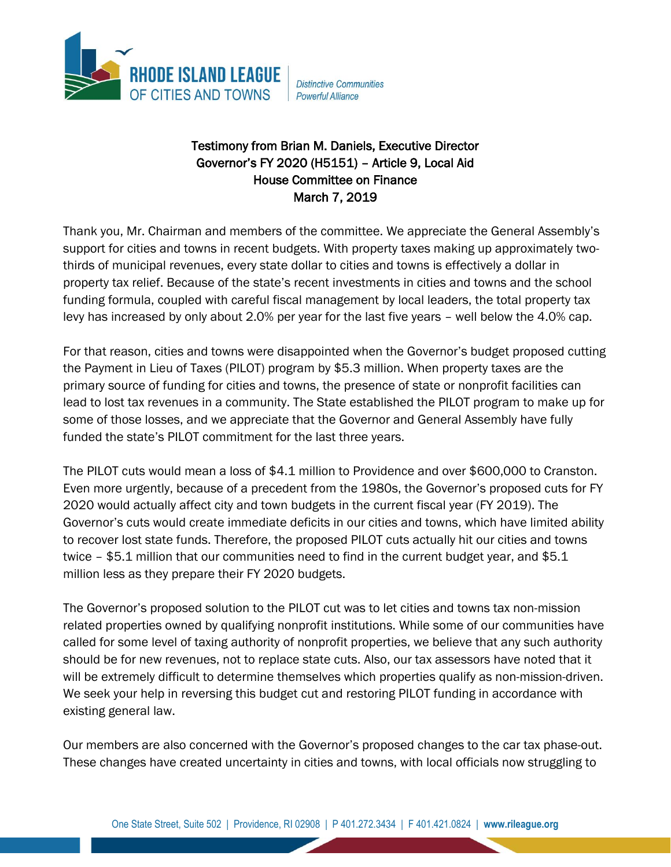

**Distinctive Communities Powerful Alliance** 

## Testimony from Brian M. Daniels, Executive Director Governor's FY 2020 (H5151) – Article 9, Local Aid House Committee on Finance March 7, 2019

Thank you, Mr. Chairman and members of the committee. We appreciate the General Assembly's support for cities and towns in recent budgets. With property taxes making up approximately twothirds of municipal revenues, every state dollar to cities and towns is effectively a dollar in property tax relief. Because of the state's recent investments in cities and towns and the school funding formula, coupled with careful fiscal management by local leaders, the total property tax levy has increased by only about 2.0% per year for the last five years – well below the 4.0% cap.

For that reason, cities and towns were disappointed when the Governor's budget proposed cutting the Payment in Lieu of Taxes (PILOT) program by \$5.3 million. When property taxes are the primary source of funding for cities and towns, the presence of state or nonprofit facilities can lead to lost tax revenues in a community. The State established the PILOT program to make up for some of those losses, and we appreciate that the Governor and General Assembly have fully funded the state's PILOT commitment for the last three years.

The PILOT cuts would mean a loss of \$4.1 million to Providence and over \$600,000 to Cranston. Even more urgently, because of a precedent from the 1980s, the Governor's proposed cuts for FY 2020 would actually affect city and town budgets in the current fiscal year (FY 2019). The Governor's cuts would create immediate deficits in our cities and towns, which have limited ability to recover lost state funds. Therefore, the proposed PILOT cuts actually hit our cities and towns twice – \$5.1 million that our communities need to find in the current budget year, and \$5.1 million less as they prepare their FY 2020 budgets.

The Governor's proposed solution to the PILOT cut was to let cities and towns tax non-mission related properties owned by qualifying nonprofit institutions. While some of our communities have called for some level of taxing authority of nonprofit properties, we believe that any such authority should be for new revenues, not to replace state cuts. Also, our tax assessors have noted that it will be extremely difficult to determine themselves which properties qualify as non-mission-driven. We seek your help in reversing this budget cut and restoring PILOT funding in accordance with existing general law.

Our members are also concerned with the Governor's proposed changes to the car tax phase-out. These changes have created uncertainty in cities and towns, with local officials now struggling to